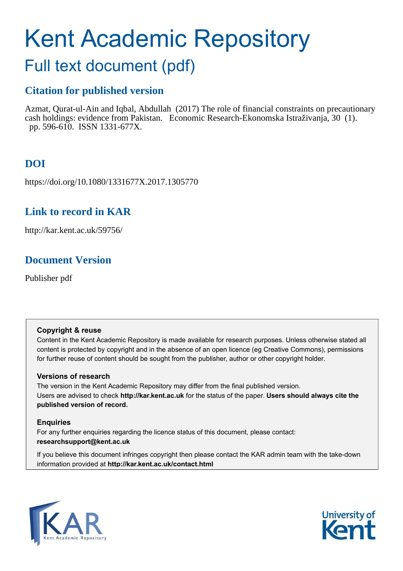# Kent Academic Repository

# Full text document (pdf)

# **Citation for published version**

Azmat, Qurat-ul-Ain and Iqbal, Abdullah (2017) The role of financial constraints on precautionary cash holdings: evidence from Pakistan. Economic Research-Ekonomska Istraživanja, 30 (1). pp. 596-610. ISSN 1331-677X.

# **DOI**

https://doi.org/10.1080/1331677X.2017.1305770

# **Link to record in KAR**

http://kar.kent.ac.uk/59756/

# **Document Version**

Publisher pdf

#### **Copyright & reuse**

Content in the Kent Academic Repository is made available for research purposes. Unless otherwise stated all content is protected by copyright and in the absence of an open licence (eg Creative Commons), permissions for further reuse of content should be sought from the publisher, author or other copyright holder.

#### **Versions of research**

The version in the Kent Academic Repository may differ from the final published version. Users are advised to check **http://kar.kent.ac.uk** for the status of the paper. **Users should always cite the published version of record.**

#### **Enquiries**

For any further enquiries regarding the licence status of this document, please contact: **researchsupport@kent.ac.uk**

If you believe this document infringes copyright then please contact the KAR admin team with the take-down information provided at **http://kar.kent.ac.uk/contact.html**



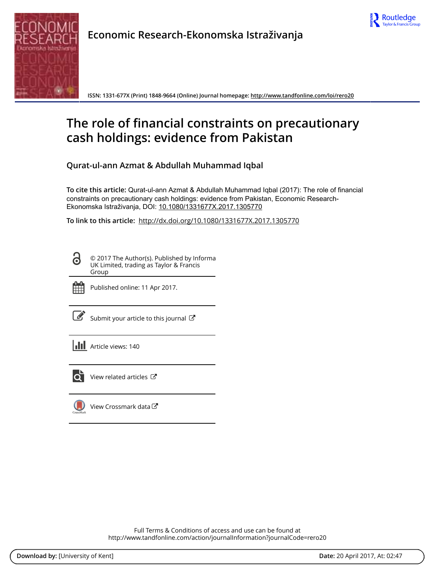



**Economic Research-Ekonomska Istraživanja**

**ISSN: 1331-677X (Print) 1848-9664 (Online) Journal homepage: <http://www.tandfonline.com/loi/rero20>**

# <span id="page-1-1"></span><span id="page-1-0"></span>**The role of financial constraints on precautionary cash holdings: evidence from Pakistan**

**Qurat-ul-ann Azmat & Abdullah Muhammad Iqbal**

**To cite this article:** Qurat-ul-ann Azmat & Abdullah Muhammad Iqbal (2017): The role of financial constraints on precautionary cash holdings: evidence from Pakistan, Economic Research-Ekonomska Istraživanja, DOI: [10.1080/1331677X.2017.1305770](http://www.tandfonline.com/action/showCitFormats?doi=10.1080/1331677X.2017.1305770)

**To link to this article:** <http://dx.doi.org/10.1080/1331677X.2017.1305770>

© 2017 The Author(s). Published by Informa UK Limited, trading as Taylor & Francis Group



<u>ය</u>

Published online: 11 Apr 2017.

[Submit your article to this journal](http://www.tandfonline.com/action/authorSubmission?journalCode=rero20&show=instructions)  $\mathbb{Z}$ 

**III** Article views: 140



<span id="page-1-2"></span>[View related articles](http://www.tandfonline.com/doi/mlt/10.1080/1331677X.2017.1305770)  $\mathbb{Z}$ 

[View Crossmark data](http://crossmark.crossref.org/dialog/?doi=10.1080/1331677X.2017.1305770&domain=pdf&date_stamp=2017-04-11)

Full Terms & Conditions of access and use can be found at <http://www.tandfonline.com/action/journalInformation?journalCode=rero20>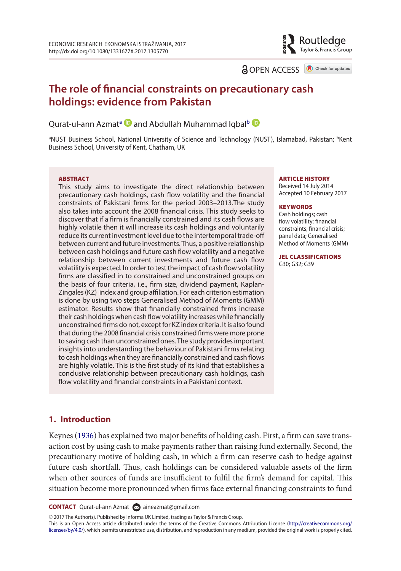<span id="page-2-13"></span><span id="page-2-12"></span>

<span id="page-2-8"></span><span id="page-2-2"></span><span id="page-2-1"></span>

Routledge Taylor & Francis Group

### **The role of inancial constraints on precautionary cash holdings: evidence from Pakistan**

<span id="page-2-7"></span>Qur[a](#page-1-0)t-ul-annAzmat<sup>a</sup> D and A[b](#page-1-1)dullah Muhammad Iqbal<sup>b</sup>

<sup>a</sup>NUST Business School, National University of Science and Technology (NUST), Islamabad, Pakistan; <sup>b</sup>Kent Business school, University of kent, chatham, Uk

#### **ABSTRACT**

<span id="page-2-5"></span>This study aims to investigate the direct relationship between precautionary cash holdings, cash flow volatility and the financial constraints of Pakistani firms for the period 2003-2013. The study also takes into account the 2008 financial crisis. This study seeks to discover that if a firm is financially constrained and its cash flows are highly volatile then it will increase its cash holdings and voluntarily reduce its current investment level due to the intertemporal trade-of between current and future investments. Thus, a positive relationship between cash holdings and future cash flow volatility and a negative relationship between current investments and future cash flow volatility is expected. In order to test the impact of cash flow volatility firms are classified in to constrained and unconstrained groups on the basis of four criteria, i.e., firm size, dividend payment, Kaplan-Zingales (KZ) index and group affiliation. For each criterion estimation is done by using two steps Generalised Method of Moments (GMM) estimator. Results show that financially constrained firms increase their cash holdings when cash flow volatility increases while financially unconstrained firms do not, except for KZ index criteria. It is also found that during the 2008 financial crisis constrained firms were more prone to saving cash than unconstrained ones. The study provides important insights into understanding the behaviour of Pakistani firms relating to cash holdings when they are financially constrained and cash flows are highly volatile. This is the first study of its kind that establishes a conclusive relationship between precautionary cash holdings, cash flow volatility and financial constraints in a Pakistani context.

#### ARTICLE HISTORY

Received 14 july 2014 accepted 10 February 2017

#### **KEYWORDS**

<span id="page-2-9"></span><span id="page-2-6"></span>cash holdings; cash flow volatility; financial constraints: financial crisis: panel data; Generalised Method of Moments (GMM)

<span id="page-2-15"></span><span id="page-2-14"></span><span id="page-2-11"></span><span id="page-2-10"></span><span id="page-2-4"></span><span id="page-2-3"></span><span id="page-2-0"></span>JEL CLASSIFICATIONS G30; G32; G39

#### **1. Introduction**

Keynes [\(1936](#page-14-0)) has explained two major benefits of holding cash. First, a firm can save transaction cost by using cash to make payments rather than raising fund externally. Second, the precautionary motive of holding cash, in which a firm can reserve cash to hedge against future cash shortfall. Thus, cash holdings can be considered valuable assets of the firm when other sources of funds are insufficient to fulfil the firm's demand for capital. This situation become more pronounced when irms face external inancing constraints to fund

**CONTACT** Qurat-ul-ann Azmat [aineazmat@gmail.com](mailto: aineazmat@gmail.com)

© 2017 The Author(s). Published by Informa UK Limited, trading as Taylor & Francis Group.

this is an open access article distributed under the terms of the creative commons attribution License [\(http://creativecommons.org/](http://creativecommons.org/licenses/by/4.0/) [licenses/by/4.0/](http://creativecommons.org/licenses/by/4.0/)), which permits unrestricted use, distribution, and reproduction in any medium, provided the original work is properly cited.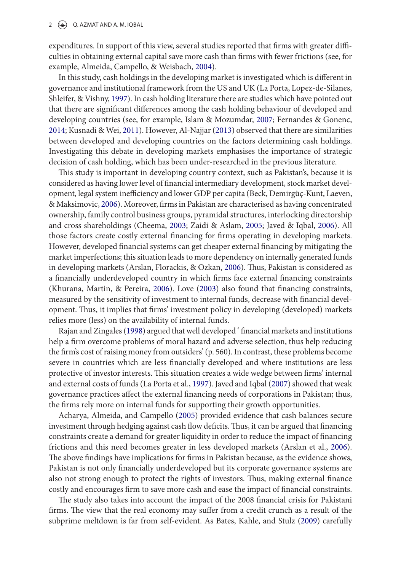#### 2  $\left(\frac{1}{2}\right)$  Q. AZMAT AND A. M. IQBAL

expenditures. In support of this view, several studies reported that firms with greater difficulties in obtaining external capital save more cash than irms with fewer frictions (see, for example, Almeida, Campello, & Weisbach, [2004\)](#page-13-0).

In this study, cash holdings in the developing market is investigated which is diferent in governance and institutional framework from the US and UK (La Porta, Lopez-de-Silanes, Shleifer, & Vishny, [1997\)](#page-14-1). In cash holding literature there are studies which have pointed out that there are signiicant diferences among the cash holding behaviour of developed and developing countries (see, for example, Islam & Mozumdar, [2007;](#page-14-2) Fernandes & Gonenc, [2014](#page-14-3); Kusnadi & Wei, [2011](#page-14-4)). However, Al-Najjar [\(2013](#page-13-1)) observed that there are similarities between developed and developing countries on the factors determining cash holdings. Investigating this debate in developing markets emphasises the importance of strategic decision of cash holding, which has been under-researched in the previous literature.

<span id="page-3-1"></span><span id="page-3-0"></span>This study is important in developing country context, such as Pakistan's, because it is considered as having lower level of inancial intermediary development, stock market development, legal system inefficiency and lower GDP per capita (Beck, Demirgüç-Kunt, Laeven, & Maksimovic, [2006\)](#page-13-2). Moreover, irms in Pakistan are characterised as having concentrated ownership, family control business groups, pyramidal structures, interlocking directorship and cross shareholdings (Cheema, [2003;](#page-13-3) Zaidi & Aslam, 2005; Javed & Iqbal, [2006](#page-14-5)). All those factors create costly external inancing for irms operating in developing markets. However, developed inancial systems can get cheaper external inancing by mitigating the market imperfections; this situation leads to more dependency on internally generated funds in developing markets (Arslan, Florackis, & Ozkan, [2006](#page-13-4)). Thus, Pakistan is considered as a inancially underdeveloped country in which irms face external inancing constraints (Khurana, Martin, & Pereira, [2006\)](#page-14-6). Love ([2003\)](#page-14-7) also found that financing constraints, measured by the sensitivity of investment to internal funds, decrease with inancial development. Thus, it implies that firms' investment policy in developing (developed) markets relies more (less) on the availability of internal funds.

Rajan and Zingales ([1998](#page-15-0)) argued that well developed ' inancial markets and institutions help a firm overcome problems of moral hazard and adverse selection, thus help reducing the irm's cost of raising money from outsiders' (p. 560). In contrast, these problems become severe in countries which are less inancially developed and where institutions are less protective of investor interests. his situation creates a wide wedge between irms' internal and external costs of funds (La Porta et al., [1997\)](#page-14-1). Javed and Iqbal ([2007](#page-14-8)) showed that weak governance practices afect the external inancing needs of corporations in Pakistan; thus, the firms rely more on internal funds for supporting their growth opportunities.

Acharya, Almeida, and Campello ([2005\)](#page-13-5) provided evidence that cash balances secure investment through hedging against cash flow deficits. Thus, it can be argued that financing constraints create a demand for greater liquidity in order to reduce the impact of inancing frictions and this need becomes greater in less developed markets (Arslan et al., [2006](#page-13-4)). The above findings have implications for firms in Pakistan because, as the evidence shows, Pakistan is not only financially underdeveloped but its corporate governance systems are also not strong enough to protect the rights of investors. Thus, making external finance costly and encourages irm to save more cash and ease the impact of inancial constraints.

The study also takes into account the impact of the 2008 financial crisis for Pakistani firms. The view that the real economy may suffer from a credit crunch as a result of the subprime meltdown is far from self-evident. As Bates, Kahle, and Stulz [\(2009](#page-13-6)) carefully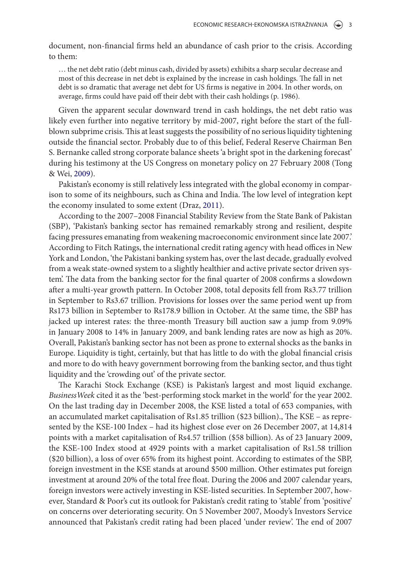document, non-inancial irms held an abundance of cash prior to the crisis. According to them:

<span id="page-4-3"></span>… the net debt ratio (debt minus cash, divided by assets) exhibits a sharp secular decrease and most of this decrease in net debt is explained by the increase in cash holdings. The fall in net debt is so dramatic that average net debt for US irms is negative in 2004. In other words, on average, firms could have paid off their debt with their cash holdings (p. 1986).

<span id="page-4-6"></span>Given the apparent secular downward trend in cash holdings, the net debt ratio was likely even further into negative territory by mid-2007, right before the start of the fullblown subprime crisis. This at least suggests the possibility of no serious liquidity tightening outside the inancial sector. Probably due to of this belief, Federal Reserve Chairman Ben S. Bernanke called strong corporate balance sheets 'a bright spot in the darkening forecast' during his testimony at the US Congress on monetary policy on 27 February 2008 (Tong & Wei, [2009](#page-15-1)).

<span id="page-4-5"></span><span id="page-4-2"></span>Pakistan's economy is still relatively less integrated with the global economy in comparison to some of its neighbours, such as China and India. The low level of integration kept the economy insulated to some extent (Draz, [2011\)](#page-14-9).

<span id="page-4-0"></span>According to the 2007–2008 Financial Stability Review from the State Bank of Pakistan (SBP), 'Pakistan's banking sector has remained remarkably strong and resilient, despite facing pressures emanating from weakening macroeconomic environment since late 2007.' According to Fitch Ratings, the international credit rating agency with head offices in New York and London, 'the Pakistani banking system has, over the last decade, gradually evolved from a weak state-owned system to a slightly healthier and active private sector driven system'. The data from the banking sector for the final quarter of 2008 confirms a slowdown ater a multi-year growth pattern. In October 2008, total deposits fell from Rs3.77 trillion in September to Rs3.67 trillion. Provisions for losses over the same period went up from Rs173 billion in September to Rs178.9 billion in October. At the same time, the SBP has jacked up interest rates: the three-month Treasury bill auction saw a jump from 9.09% in January 2008 to 14% in January 2009, and bank lending rates are now as high as 20%. Overall, Pakistan's banking sector has not been as prone to external shocks as the banks in Europe. Liquidity is tight, certainly, but that has little to do with the global financial crisis and more to do with heavy government borrowing from the banking sector, and thus tight liquidity and the 'crowding out' of the private sector.

<span id="page-4-4"></span><span id="page-4-1"></span>he Karachi Stock Exchange (KSE) is Pakistan's largest and most liquid exchange. BusinessWeek cited it as the 'best-performing stock market in the world' for the year 2002. On the last trading day in December 2008, the KSE listed a total of 653 companies, with an accumulated market capitalisation of Rs1.85 trillion (\$23 billion)., The KSE - as represented by the KSE-100 Index – had its highest close ever on 26 December 2007, at 14,814 points with a market capitalisation of Rs4.57 trillion (\$58 billion). As of 23 January 2009, the KSE-100 Index stood at 4929 points with a market capitalisation of Rs1.58 trillion (\$20 billion), a loss of over 65% from its highest point. According to estimates of the SBP, foreign investment in the KSE stands at around \$500 million. Other estimates put foreign investment at around 20% of the total free loat. During the 2006 and 2007 calendar years, foreign investors were actively investing in KSE-listed securities. In September 2007, however, Standard & Poor's cut its outlook for Pakistan's credit rating to 'stable' from 'positive' on concerns over deteriorating security. On 5 November 2007, Moody's Investors Service announced that Pakistan's credit rating had been placed 'under review'. he end of 2007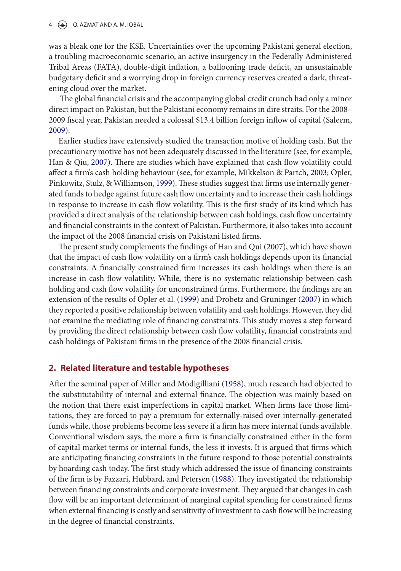#### $4 \quad \Leftrightarrow \quad Q.$  AZMAT AND A. M. IQBAL

<span id="page-5-1"></span>was a bleak one for the KSE. Uncertainties over the upcoming Pakistani general election, a troubling macroeconomic scenario, an active insurgency in the Federally Administered Tribal Areas (FATA), double-digit inlation, a ballooning trade deicit, an unsustainable budgetary deficit and a worrying drop in foreign currency reserves created a dark, threatening cloud over the market.

<span id="page-5-0"></span>The global financial crisis and the accompanying global credit crunch had only a minor direct impact on Pakistan, but the Pakistani economy remains in dire straits. For the 2008– 2009 fiscal year, Pakistan needed a colossal \$13.4 billion foreign inflow of capital (Saleem, [2009](#page-15-2)).

Earlier studies have extensively studied the transaction motive of holding cash. But the precautionary motive has not been adequately discussed in the literature (see, for example, Han & Qiu, [2007](#page-14-10)). There are studies which have explained that cash flow volatility could afect a irm's cash holding behaviour (see, for example, Mikkelson & Partch, [2003](#page-15-3); Opler, Pinkowitz, Stulz, & Williamson, [1999\)](#page-15-4). These studies suggest that firms use internally generated funds to hedge against future cash low uncertainty and to increase their cash holdings in response to increase in cash flow volatility. This is the first study of its kind which has provided a direct analysis of the relationship between cash holdings, cash low uncertainty and financial constraints in the context of Pakistan. Furthermore, it also takes into account the impact of the 2008 financial crisis on Pakistani listed firms.

<span id="page-5-4"></span><span id="page-5-2"></span>The present study complements the findings of Han and Qui (2007), which have shown that the impact of cash low volatility on a irm's cash holdings depends upon its inancial constraints. A financially constrained firm increases its cash holdings when there is an increase in cash low volatility. While, there is no systematic relationship between cash holding and cash flow volatility for unconstrained firms. Furthermore, the findings are an extension of the results of Opler et al. [\(1999\)](#page-15-4) and Drobetz and Gruninger ([2007\)](#page-14-11) in which they reported a positive relationship between volatility and cash holdings. However, they did not examine the mediating role of financing constraints. This study moves a step forward by providing the direct relationship between cash flow volatility, financial constraints and cash holdings of Pakistani firms in the presence of the 2008 financial crisis.

#### **2. Related literature and testable hypotheses**

<span id="page-5-3"></span>Ater the seminal paper of Miller and Modigilliani [\(1958\)](#page-15-5), much research had objected to the substitutability of internal and external finance. The objection was mainly based on the notion that there exist imperfections in capital market. When irms face those limitations, they are forced to pay a premium for externally-raised over internally-generated funds while, those problems become less severe if a firm has more internal funds available. Conventional wisdom says, the more a firm is financially constrained either in the form of capital market terms or internal funds, the less it invests. It is argued that irms which are anticipating inancing constraints in the future respond to those potential constraints by hoarding cash today. The first study which addressed the issue of financing constraints of the firm is by Fazzari, Hubbard, and Petersen [\(1988](#page-14-12)). They investigated the relationship between financing constraints and corporate investment. They argued that changes in cash flow will be an important determinant of marginal capital spending for constrained firms when external financing is costly and sensitivity of investment to cash flow will be increasing in the degree of financial constraints.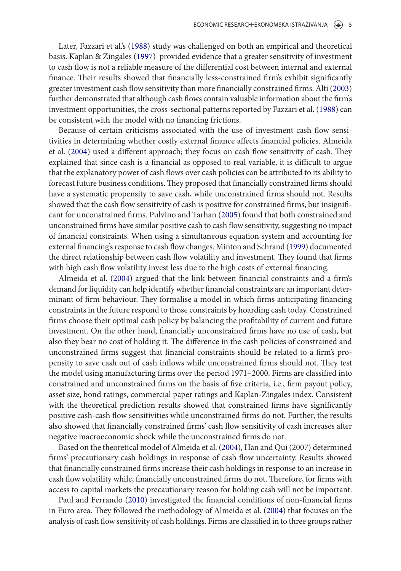Later, Fazzari et al.'s ([1988](#page-14-12)) study was challenged on both an empirical and theoretical basis. Kaplan & Zingales ([1997](#page-14-13)) provided evidence that a greater sensitivity of investment to cash low is not a reliable measure of the diferential cost between internal and external finance. Their results showed that financially less-constrained firm's exhibit significantly greater investment cash low sensitivity than more inancially constrained irms. Alti ([2003\)](#page-13-7) further demonstrated that although cash lows contain valuable information about the irm's investment opportunities, the cross-sectional patterns reported by Fazzari et al. ([1988\)](#page-14-12) can be consistent with the model with no financing frictions.

<span id="page-6-1"></span>Because of certain criticisms associated with the use of investment cash low sensitivities in determining whether costly external inance afects inancial policies. Almeida et al. [\(2004](#page-13-0)) used a different approach; they focus on cash flow sensitivity of cash. They explained that since cash is a financial as opposed to real variable, it is difficult to argue that the explanatory power of cash lows over cash policies can be attributed to its ability to forecast future business conditions. They proposed that financially constrained firms should have a systematic propensity to save cash, while unconstrained firms should not. Results showed that the cash flow sensitivity of cash is positive for constrained firms, but insignificant for unconstrained irms. Pulvino and Tarhan [\(2005](#page-15-6)) found that both constrained and unconstrained irms have similar positive cash to cash low sensitivity, suggesting no impact of inancial constraints. When using a simultaneous equation system and accounting for external inancing's response to cash low changes. Minton and Schrand ([1999\)](#page-15-7) documented the direct relationship between cash flow volatility and investment. They found that firms with high cash flow volatility invest less due to the high costs of external financing.

<span id="page-6-3"></span><span id="page-6-2"></span><span id="page-6-0"></span>Almeida et al. [\(2004\)](#page-13-0) argued that the link between financial constraints and a firm's demand for liquidity can help identify whether inancial constraints are an important determinant of firm behaviour. They formalise a model in which firms anticipating financing constraints in the future respond to those constraints by hoarding cash today. Constrained firms choose their optimal cash policy by balancing the profitability of current and future investment. On the other hand, financially unconstrained firms have no use of cash, but also they bear no cost of holding it. The difference in the cash policies of constrained and unconstrained firms suggest that financial constraints should be related to a firm's propensity to save cash out of cash inlows while unconstrained irms should not. hey test the model using manufacturing firms over the period 1971–2000. Firms are classified into constrained and unconstrained irms on the basis of ive criteria, i.e., irm payout policy, asset size, bond ratings, commercial paper ratings and Kaplan-Zingales index. Consistent with the theoretical prediction results showed that constrained firms have significantly positive cash-cash low sensitivities while unconstrained irms do not. Further, the results also showed that financially constrained firms' cash flow sensitivity of cash increases after negative macroeconomic shock while the unconstrained firms do not.

<span id="page-6-4"></span>Based on the theoretical model of Almeida et al. ([2004\)](#page-13-0), Han and Qui (2007) determined firms' precautionary cash holdings in response of cash flow uncertainty. Results showed that financially constrained firms increase their cash holdings in response to an increase in cash flow volatility while, financially unconstrained firms do not. Therefore, for firms with access to capital markets the precautionary reason for holding cash will not be important.

Paul and Ferrando ([2010\)](#page-15-8) investigated the inancial conditions of non-inancial irms in Euro area. hey followed the methodology of Almeida et al. ([2004](#page-13-0)) that focuses on the analysis of cash low sensitivity of cash holdings. Firms are classiied in to three groups rather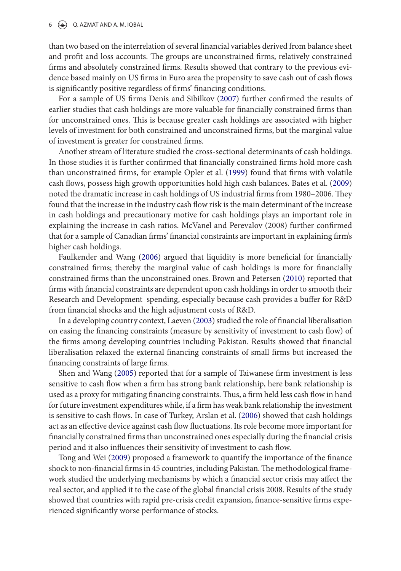#### 6  $\left(\frac{1}{2}\right)$  Q. AZMAT AND A. M. IQBAL

<span id="page-7-6"></span>than two based on the interrelation of several financial variables derived from balance sheet and profit and loss accounts. The groups are unconstrained firms, relatively constrained firms and absolutely constrained firms. Results showed that contrary to the previous evidence based mainly on US irms in Euro area the propensity to save cash out of cash lows is significantly positive regardless of firms' financing conditions.

For a sample of US firms Denis and Sibilkov ([2007\)](#page-14-14) further confirmed the results of earlier studies that cash holdings are more valuable for inancially constrained irms than for unconstrained ones. This is because greater cash holdings are associated with higher levels of investment for both constrained and unconstrained irms, but the marginal value of investment is greater for constrained firms.

Another stream of literature studied the cross-sectional determinants of cash holdings. In those studies it is further confirmed that financially constrained firms hold more cash than unconstrained irms, for example Opler et al. [\(1999](#page-15-4)) found that irms with volatile cash lows, possess high growth opportunities hold high cash balances. Bates et al. [\(2009\)](#page-13-6) noted the dramatic increase in cash holdings of US industrial irms from 1980–2006. hey found that the increase in the industry cash low risk is the main determinant of the increase in cash holdings and precautionary motive for cash holdings plays an important role in explaining the increase in cash ratios. McVanel and Perevalov (2008) further conirmed that for a sample of Canadian firms' financial constraints are important in explaining firm's higher cash holdings.

<span id="page-7-4"></span>Faulkender and Wang [\(2006](#page-14-15)) argued that liquidity is more beneficial for financially constrained firms; thereby the marginal value of cash holdings is more for financially constrained firms than the unconstrained ones. Brown and Petersen ([2010\)](#page-13-8) reported that firms with financial constraints are dependent upon cash holdings in order to smooth their Research and Development spending, especially because cash provides a bufer for R&D from financial shocks and the high adjustment costs of R&D.

<span id="page-7-2"></span><span id="page-7-1"></span>In a developing country context, Laeven [\(2003\)](#page-14-16) studied the role of inancial liberalisation on easing the inancing constraints (measure by sensitivity of investment to cash low) of the firms among developing countries including Pakistan. Results showed that financial liberalisation relaxed the external inancing constraints of small irms but increased the financing constraints of large firms.

<span id="page-7-5"></span><span id="page-7-3"></span><span id="page-7-0"></span>Shen and Wang [\(2005](#page-15-9)) reported that for a sample of Taiwanese firm investment is less sensitive to cash flow when a firm has strong bank relationship, here bank relationship is used as a proxy for mitigating financing constraints. Thus, a firm held less cash flow in hand for future investment expenditures while, if a irm has weak bank relationship the investment is sensitive to cash lows. In case of Turkey, Arslan et al. ([2006](#page-13-4)) showed that cash holdings act as an efective device against cash low luctuations. Its role become more important for financially constrained firms than unconstrained ones especially during the financial crisis period and it also inluences their sensitivity of investment to cash low.

Tong and Wei ([2009\)](#page-15-1) proposed a framework to quantify the importance of the inance shock to non-financial firms in 45 countries, including Pakistan. The methodological framework studied the underlying mechanisms by which a financial sector crisis may affect the real sector, and applied it to the case of the global financial crisis 2008. Results of the study showed that countries with rapid pre-crisis credit expansion, finance-sensitive firms experienced significantly worse performance of stocks.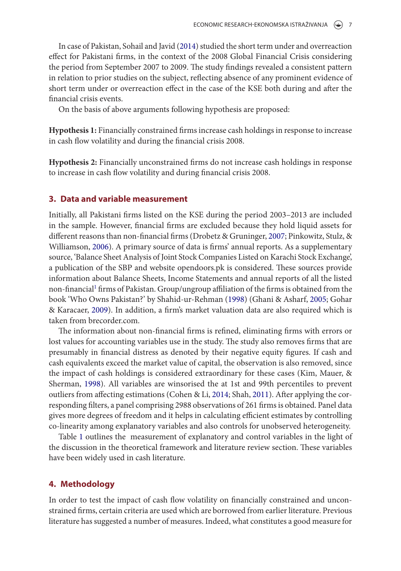In case of Pakistan, Sohail and Javid [\(2014\)](#page-15-10) studied the short term under and overreaction efect for Pakistani irms, in the context of the 2008 Global Financial Crisis considering the period from September 2007 to 2009. The study findings revealed a consistent pattern in relation to prior studies on the subject, relecting absence of any prominent evidence of short term under or overreaction efect in the case of the KSE both during and ater the financial crisis events.

<span id="page-8-1"></span>On the basis of above arguments following hypothesis are proposed:

**Hypothesis 1:** Financially constrained irms increase cash holdings in response to increase in cash flow volatility and during the financial crisis 2008.

**Hypothesis 2:** Financially unconstrained irms do not increase cash holdings in response to increase in cash flow volatility and during financial crisis 2008.

#### **3. Data and variable measurement**

<span id="page-8-0"></span>Initially, all Pakistani firms listed on the KSE during the period 2003–2013 are included in the sample. However, inancial irms are excluded because they hold liquid assets for different reasons than non-financial firms (Drobetz & Gruninger, [2007](#page-14-11); Pinkowitz, Stulz, & Williamson, [2006\)](#page-15-11). A primary source of data is firms' annual reports. As a supplementary source, 'Balance Sheet Analysis of Joint Stock Companies Listed on Karachi Stock Exchange', a publication of the SBP and website opendoors.pk is considered. These sources provide information about Balance Sheets, Income Statements and annual reports of all the listed non-financial<sup>[1](#page-13-9)</sup> firms of Pakistan. Group/ungroup affiliation of the firms is obtained from the book 'Who Owns Pakistan?' by Shahid-ur-Rehman ([1998\)](#page-15-2) (Ghani & Asharf, [2005;](#page-14-17) Gohar & Karacaer, [2009\)](#page-14-18). In addition, a irm's market valuation data are also required which is taken from brecorder.com

The information about non-financial firms is refined, eliminating firms with errors or lost values for accounting variables use in the study. The study also removes firms that are presumably in inancial distress as denoted by their negative equity igures. If cash and cash equivalents exceed the market value of capital, the observation is also removed, since the impact of cash holdings is considered extraordinary for these cases (Kim, Mauer, & Sherman, [1998\)](#page-14-19). All variables are winsorised the at 1st and 99th percentiles to prevent outliers from affecting estimations (Cohen & Li, [2014](#page-14-20); Shah, [2011\)](#page-15-12). After applying the corresponding filters, a panel comprising 2988 observations of 261 firms is obtained. Panel data gives more degrees of freedom and it helps in calculating efficient estimates by controlling co-linearity among explanatory variables and also controls for unobserved heterogeneity.

Table [1](#page-9-0) outlines the measurement of explanatory and control variables in the light of the discussion in the theoretical framework and literature review section. These variables have been widely used in cash literature.

#### **4. Methodology**

In order to test the impact of cash low volatility on inancially constrained and unconstrained irms, certain criteria are used which are borrowed from earlier literature. Previous literature has suggested a number of measures. Indeed, what constitutes a good measure for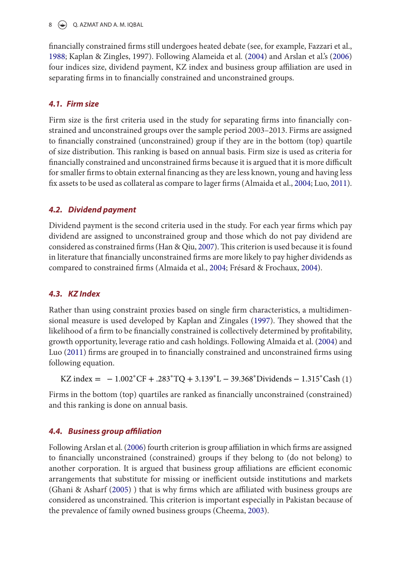8  $\leftrightarrow$  Q. AZMAT AND A. M. IQBAL

<span id="page-9-0"></span>inancially constrained irms still undergoes heated debate (see, for example, Fazzari et al., [1988](#page-14-12); Kaplan & Zingles, 1997). Following Alameida et al. ([2004](#page-13-0)) and Arslan et al.'s [\(2006\)](#page-13-4) four indices size, dividend payment, KZ index and business group affiliation are used in separating firms in to financially constrained and unconstrained groups.

#### **4.1. Firm size**

Firm size is the first criteria used in the study for separating firms into financially constrained and unconstrained groups over the sample period 2003–2013. Firms are assigned to inancially constrained (unconstrained) group if they are in the bottom (top) quartile of size distribution. his ranking is based on annual basis. Firm size is used as criteria for financially constrained and unconstrained firms because it is argued that it is more difficult for smaller irms to obtain external inancing as they are less known, young and having less fix assets to be used as collateral as compare to lager firms (Almaida et al., [2004](#page-13-0); Luo, [2011](#page-14-21)).

#### **4.2. Dividend payment**

Dividend payment is the second criteria used in the study. For each year irms which pay dividend are assigned to unconstrained group and those which do not pay dividend are considered as constrained firms (Han & Qiu, [2007\)](#page-14-10). This criterion is used because it is found in literature that inancially unconstrained irms are more likely to pay higher dividends as compared to constrained firms (Almaida et al., [2004;](#page-13-0) Frésard & Frochaux, [2004\)](#page-14-22).

#### **4.3. KZ Index**

Rather than using constraint proxies based on single firm characteristics, a multidimensional measure is used developed by Kaplan and Zingales [\(1997](#page-14-13)). hey showed that the likelihood of a firm to be financially constrained is collectively determined by profitability, growth opportunity, leverage ratio and cash holdings. Following Almaida et al. ([2004\)](#page-13-0) and Luo [\(2011\)](#page-14-21) firms are grouped in to financially constrained and unconstrained firms using following equation.

<span id="page-9-2"></span>KZ index =  $-1.002$ <sup>\*</sup>CF + .283<sup>\*</sup>TQ + 3.139<sup>\*</sup>L – 39.368<sup>\*</sup>Dividends – 1.315<sup>\*</sup>Cash (1)

Firms in the bottom (top) quartiles are ranked as financially unconstrained (constrained) and this ranking is done on annual basis.

#### **4.4. Business group affiliation**

<span id="page-9-1"></span>Following Arslan et al. [\(2006](#page-13-4)) fourth criterion is group affiliation in which firms are assigned to inancially unconstrained (constrained) groups if they belong to (do not belong) to another corporation. It is argued that business group affiliations are efficient economic arrangements that substitute for missing or inefficient outside institutions and markets (Ghani & Asharf ([2005\)](#page-14-17)) that is why firms which are affiliated with business groups are considered as unconstrained. This criterion is important especially in Pakistan because of the prevalence of family owned business groups (Cheema, [2003](#page-13-3)).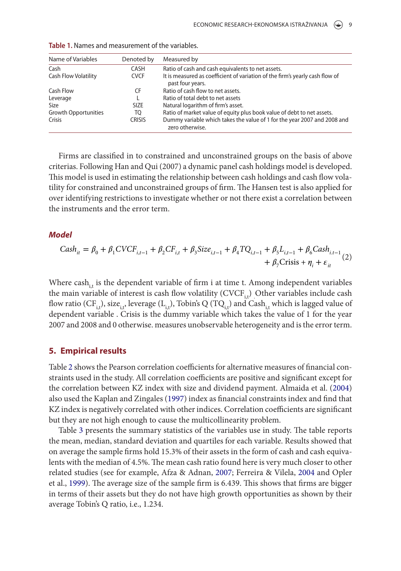| Name of Variables           | Denoted by    | Measured by                                                                                      |
|-----------------------------|---------------|--------------------------------------------------------------------------------------------------|
| Cash                        | <b>CASH</b>   | Ratio of cash and cash equivalents to net assets.                                                |
| <b>Cash Flow Volatility</b> | <b>CVCF</b>   | It is measured as coefficient of variation of the firm's yearly cash flow of<br>past four years. |
| Cash Flow                   | CF            | Ratio of cash flow to net assets.                                                                |
| Leverage                    |               | Ratio of total debt to net assets                                                                |
| Size                        | <b>SIZE</b>   | Natural logarithm of firm's asset.                                                               |
| <b>Growth Opportunities</b> | TO            | Ratio of market value of equity plus book value of debt to net assets.                           |
| Crisis                      | <b>CRISIS</b> | Dummy variable which takes the value of 1 for the year 2007 and 2008 and<br>zero otherwise.      |

<span id="page-10-0"></span>**Table 1.** names and measurement of the variables.

<span id="page-10-1"></span>Firms are classified in to constrained and unconstrained groups on the basis of above criterias. Following Han and Qui (2007) a dynamic panel cash holdings model is developed. his model is used in estimating the relationship between cash holdings and cash low volatility for constrained and unconstrained groups of firm. The Hansen test is also applied for over identifying restrictions to investigate whether or not there exist a correlation between the instruments and the error term.

#### **Model**

$$
Cash_{it} = \beta_0 + \beta_1 CVCF_{i,t-1} + \beta_2 CF_{i,t} + \beta_3 Size_{i,t-1} + \beta_4 TQ_{i,t-1} + \beta_5 L_{i,t-1} + \beta_6 Cash_{i,t-1} + \beta_7 Crist + \beta_7 Crist + \eta_i + \varepsilon_{it}
$$
 (2)

<span id="page-10-2"></span>Where cash<sub>it</sub> is the dependent variable of firm i at time t. Among independent variables the main variable of interest is cash flow volatility  $(CVCF_{i,t})$  Other variables include cash flow ratio (CF<sub>it</sub>), size<sub>it</sub>, leverage (L<sub>it</sub>), Tobin's Q (TQ<sub>it</sub>) and Cash<sub>it</sub> which is lagged value of dependent variable . Crisis is the dummy variable which takes the value of 1 for the year 2007 and 2008 and 0 otherwise. measures unobservable heterogeneity and is the error term.

#### **5. Empirical results**

Table [2](#page-10-0) shows the Pearson correlation coefficients for alternative measures of financial constraints used in the study. All correlation coefficients are positive and significant except for the correlation between KZ index with size and dividend payment. Almaida et al. [\(2004\)](#page-13-0) also used the Kaplan and Zingales [\(1997](#page-14-13)) index as financial constraints index and find that KZ index is negatively correlated with other indices. Correlation coefficients are significant but they are not high enough to cause the multicollinearity problem.

Table [3](#page-10-1) presents the summary statistics of the variables use in study. The table reports the mean, median, standard deviation and quartiles for each variable. Results showed that on average the sample irms hold 15.3% of their assets in the form of cash and cash equivalents with the median of 4.5%. The mean cash ratio found here is very much closer to other related studies (see for example, Afza & Adnan, [2007](#page-13-10); Ferreira & Vilela, [2004](#page-14-23) and Opler et al., [1999\)](#page-15-4). The average size of the sample firm is 6.439. This shows that firms are bigger in terms of their assets but they do not have high growth opportunities as shown by their average Tobin's Q ratio, i.e., 1.234.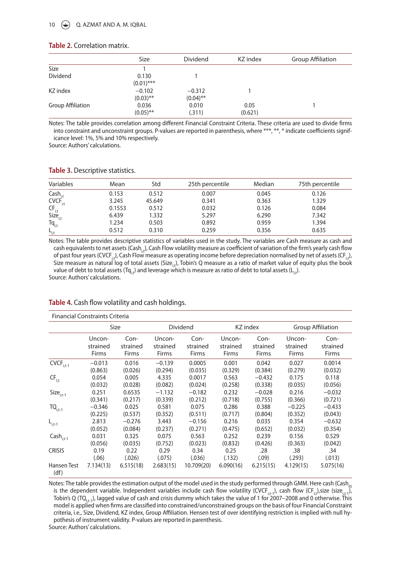#### **Table 2.** correlation matrix.

|                          | <b>Size</b>           | <b>Dividend</b> | KZ index | Group Affiliation |
|--------------------------|-----------------------|-----------------|----------|-------------------|
| Size                     |                       |                 |          |                   |
| Dividend                 | 0.130<br>$(0.01)$ *** |                 |          |                   |
| KZ index                 | $-0.102$              | $-0.312$        |          |                   |
|                          | $(0.03)$ **           | $(0.04)$ **     |          |                   |
| <b>Group Affiliation</b> | 0.036                 | 0.010           | 0.05     |                   |
|                          | $(0.05)$ **           | (.311)          | (0.621)  |                   |

Notes: The table provides correlation among different Financial Constraint Criteria. These criteria are used to divide firms into constraint and unconstraint groups. P-values are reported in parenthesis, where \*\*\*, \*\*, \* indicate coefficients significance level: 1%, 5% and 10% respectively.

Source: Authors' calculations.

| Variables                                                                                                                                        | Mean   | Std    | 25th percentile | Median | 75th percentile |
|--------------------------------------------------------------------------------------------------------------------------------------------------|--------|--------|-----------------|--------|-----------------|
|                                                                                                                                                  | 0.153  | 0.512  | 0.007           | 0.045  | 0.126           |
| $\begin{array}{c} \mathsf{Cash}_{\mathrm{i.t}} \\ \mathsf{CVCF}_{\mathrm{i.t}} \end{array}$                                                      | 3.245  | 45.649 | 0.341           | 0.363  | 1.329           |
|                                                                                                                                                  | 0.1553 | 0.512  | 0.032           | 0.126  | 0.084           |
|                                                                                                                                                  | 6.439  | 1.332  | 5.297           | 6.290  | 7.342           |
| $\begin{array}{l} \mathsf{CF}_{\mathsf{i},\mathsf{t}}\\ \mathsf{Size}_{\mathsf{i},\mathsf{t}}\\ \mathsf{Tq}_{\mathsf{i},\mathsf{t}} \end{array}$ | 1.234  | 0.503  | 0.892           | 0.959  | 1.394           |
| $L_{i,t}$                                                                                                                                        | 0.512  | 0.310  | 0.259           | 0.356  | 0.635           |

#### **Table 3.** Descriptive statistics.

Notes: The table provides descriptive statistics of variables used in the study. The variables are Cash measure as cash and cash equivalents to net assets (Cash,), Cash Flow volatility measure as coefficient of variation of the firm's yearly cash flow of past four years (CVCF<sub>ir</sub>), Cash Flow measure as operating income before depreciation normalised by net of assets (CF<sub>ir</sub>), Size measure as natural log of total assets (Size, ), Tobin's Q measure as a ratio of market value of equity plus the book value of debt to total assets (Tq<sub>it</sub>) and leverage which is measure as ratio of debt to total assets (L<sub>it</sub>). Source: Authors' calculations.

<span id="page-11-2"></span><span id="page-11-1"></span>

| <b>Financial Constraints Criteria</b>                       |           |           |           |            |           |              |                   |           |
|-------------------------------------------------------------|-----------|-----------|-----------|------------|-----------|--------------|-------------------|-----------|
|                                                             | Size      |           | Dividend  |            | KZ index  |              | Group Affiliation |           |
|                                                             | Uncon-    | Con-      | Uncon-    | Con-       | Uncon-    | Con-         | Uncon-            | Con-      |
|                                                             | strained  | strained  | strained  | strained   | strained  | strained     | strained          | strained  |
|                                                             | Firms     | Firms     | Firms     | Firms      | Firms     | <b>Firms</b> | Firms             | Firms     |
| $\overline{\mathsf{CVEF}}_{\mathsf{i},\mathsf{t}\text{-1}}$ | $-0.013$  | 0.016     | $-0.139$  | 0.0005     | 0.001     | 0.042        | 0.027             | 0.0014    |
|                                                             | (0.863)   | (0.026)   | (0.294)   | (0.035)    | (0.329)   | (0.384)      | (0.279)           | (0.032)   |
| $CF_{I,t}$                                                  | 0.054     | 0.005     | 4.335     | 0.0017     | 0.563     | $-0.432$     | 0.175             | 0.118     |
|                                                             | (0.032)   | (0.028)   | (0.082)   | (0.024)    | (0.258)   | (0.338)      | (0.035)           | (0.056)   |
| $Size_{i,t-1}$                                              | 0.251     | 0.6535    | $-1.132$  | $-0.182$   | 0.232     | $-0.028$     | 0.216             | $-0.032$  |
|                                                             | (0.341)   | (0.217)   | (0.339)   | (0.212)    | (0.718)   | (0.755)      | (0.366)           | (0.721)   |
| $TO_{i,t-1}$                                                | $-0.346$  | 0.025     | 0.581     | 0.075      | 0.286     | 0.388        | $-0.225$          | $-0.433$  |
|                                                             | (0.225)   | (0.537)   | (0.352)   | (0.511)    | (0.717)   | (0.804)      | (0.352)           | (0.043)   |
| $L_{i,t-1}$                                                 | 2.813     | $-0.276$  | 3.443     | $-0.156$   | 0.216     | 0.035        | 0.354             | $-0.632$  |
|                                                             | (0.052)   | (0.084)   | (0.237)   | (0.271)    | (0.475)   | (0.652)      | (0.032)           | (0.354)   |
| $\mathsf{Cash}_{i,t-1}$                                     | 0.031     | 0.325     | 0.075     | 0.563      | 0.252     | 0.239        | 0.156             | 0.529     |
|                                                             | (0.056)   | (0.035)   | (0.752)   | (0.023)    | (0.832)   | (0.426)      | (0.363)           | (0.042)   |
| <b>CRISIS</b>                                               | 0.19      | 0.22      | 0.29      | 0.34       | 0.25      | .28          | .38               | .34       |
|                                                             | (.06)     | (.026)    | (.075)    | (.036)     | (.132)    | (.09)        | (.293)            | (.013)    |
| Hansen Test<br>(df)                                         | 7.134(13) | 6.515(18) | 2.683(15) | 10.709(20) | 6.090(16) | 6.215(15)    | 4.129(15)         | 5.075(16) |

#### **Table 4.** Cash flow volatility and cash holdings.

<span id="page-11-0"></span>Notes: The table provides the estimation output of the model used in the study performed through GMM. Here cash (Cash<sub>it)</sub> is the dependent variable. Independent variables include cash flow volatility (CVCF<sub>i,t-1</sub>), cash flow (CF<sub>I,t</sub>),size (size<sub>i,t-1</sub>), Tobin's Q (TQ<sub>it-1</sub>), lagged value of cash and crisis dummy which takes the value of 1 for 2007–2008 and 0 otherwise. This model is applied when firms are classified into constrained/unconstrained groups on the basis of four Financial Constraint criteria, i.e., Size, Dividend, KZ index, Group Affiliation. Hensen test of over identifying restriction is implied with null hypothesis of instrument validity. P-values are reported in parenthesis. Source: Authors' calculations.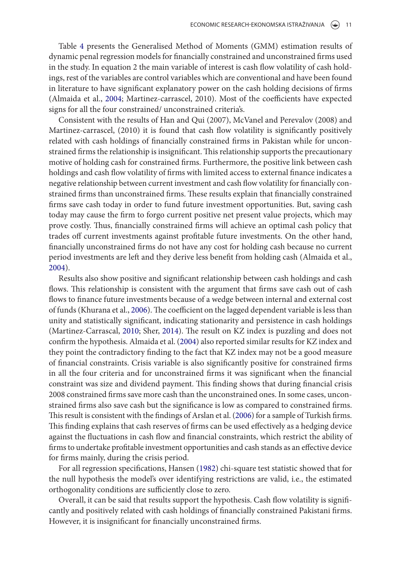Table [4](#page-10-2) presents the Generalised Method of Moments (GMM) estimation results of dynamic penal regression models for financially constrained and unconstrained firms used in the study. In equation 2 the main variable of interest is cash low volatility of cash holdings, rest of the variables are control variables which are conventional and have been found in literature to have significant explanatory power on the cash holding decisions of firms (Almaida et al., [2004;](#page-13-0) Martinez-carrascel, 2010). Most of the coefficients have expected signs for all the four constrained/ unconstrained criteria's.

Consistent with the results of Han and Qui (2007), McVanel and Perevalov (2008) and Martinez-carrascel, (2010) it is found that cash flow volatility is significantly positively related with cash holdings of inancially constrained irms in Pakistan while for unconstrained firms the relationship is insignificant. This relationship supports the precautionary motive of holding cash for constrained irms. Furthermore, the positive link between cash holdings and cash flow volatility of firms with limited access to external finance indicates a negative relationship between current investment and cash low volatility for inancially constrained firms than unconstrained firms. These results explain that financially constrained firms save cash today in order to fund future investment opportunities. But, saving cash today may cause the irm to forgo current positive net present value projects, which may prove costly. hus, inancially constrained irms will achieve an optimal cash policy that trades off current investments against profitable future investments. On the other hand, financially unconstrained firms do not have any cost for holding cash because no current period investments are let and they derive less beneit from holding cash (Almaida et al., [2004](#page-13-0)).

Results also show positive and significant relationship between cash holdings and cash flows. This relationship is consistent with the argument that firms save cash out of cash flows to finance future investments because of a wedge between internal and external cost of funds (Khurana et al., [2006](#page-14-6)). The coefficient on the lagged dependent variable is less than unity and statistically significant, indicating stationarity and persistence in cash holdings (Martinez-Carrascal, [2010;](#page-14-24) Sher, [2014\)](#page-15-13). The result on KZ index is puzzling and does not confirm the hypothesis. Almaida et al. [\(2004\)](#page-13-0) also reported similar results for KZ index and they point the contradictory inding to the fact that KZ index may not be a good measure of inancial constraints. Crisis variable is also signiicantly positive for constrained irms in all the four criteria and for unconstrained firms it was significant when the financial constraint was size and dividend payment. This finding shows that during financial crisis 2008 constrained firms save more cash than the unconstrained ones. In some cases, unconstrained firms also save cash but the significance is low as compared to constrained firms. This result is consistent with the findings of Arslan et al. ([2006](#page-13-4)) for a sample of Turkish firms. This finding explains that cash reserves of firms can be used effectively as a hedging device against the luctuations in cash low and inancial constraints, which restrict the ability of firms to undertake profitable investment opportunities and cash stands as an effective device for firms mainly, during the crisis period.

For all regression specifications, Hansen [\(1982](#page-14-25)) chi-square test statistic showed that for the null hypothesis the model's over identifying restrictions are valid, i.e., the estimated orthogonality conditions are sufficiently close to zero.

Overall, it can be said that results support the hypothesis. Cash low volatility is signiicantly and positively related with cash holdings of inancially constrained Pakistani irms. However, it is insignificant for financially unconstrained firms.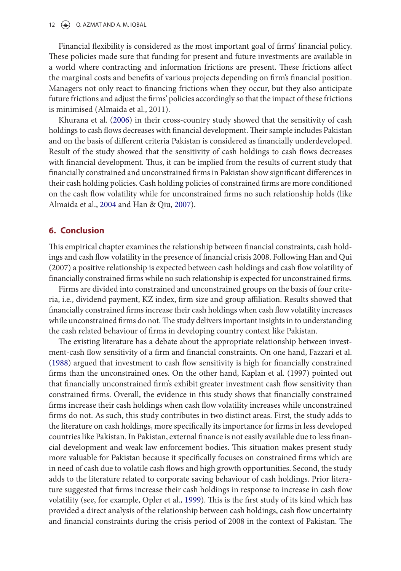12  $\left(\rightarrow\right)$  Q. AZMAT AND A. M. IQBAL

Financial flexibility is considered as the most important goal of firms' financial policy. hese policies made sure that funding for present and future investments are available in a world where contracting and information frictions are present. These frictions affect the marginal costs and benefits of various projects depending on firm's financial position. Managers not only react to inancing frictions when they occur, but they also anticipate future frictions and adjust the firms' policies accordingly so that the impact of these frictions is minimised (Almaida et al., 2011).

<span id="page-13-9"></span>Khurana et al. ([2006](#page-14-6)) in their cross-country study showed that the sensitivity of cash holdings to cash flows decreases with financial development. Their sample includes Pakistan and on the basis of different criteria Pakistan is considered as financially underdeveloped. Result of the study showed that the sensitivity of cash holdings to cash lows decreases with financial development. Thus, it can be implied from the results of current study that financially constrained and unconstrained firms in Pakistan show significant differences in their cash holding policies. Cash holding policies of constrained irms are more conditioned on the cash low volatility while for unconstrained irms no such relationship holds (like Almaida et al., [2004](#page-13-0) and Han & Qiu, [2007\)](#page-14-10).

#### <span id="page-13-11"></span>**6. Conclusion**

This empirical chapter examines the relationship between financial constraints, cash holdings and cash low volatility in the presence of inancial crisis 2008. Following Han and Qui (2007) a positive relationship is expected between cash holdings and cash low volatility of financially constrained firms while no such relationship is expected for unconstrained firms.

Firms are divided into constrained and unconstrained groups on the basis of four criteria, i.e., dividend payment, KZ index, firm size and group affiliation. Results showed that financially constrained firms increase their cash holdings when cash flow volatility increases while unconstrained firms do not. The study delivers important insights in to understanding the cash related behaviour of firms in developing country context like Pakistan.

<span id="page-13-10"></span><span id="page-13-8"></span><span id="page-13-7"></span><span id="page-13-6"></span><span id="page-13-5"></span><span id="page-13-4"></span><span id="page-13-3"></span><span id="page-13-2"></span><span id="page-13-1"></span><span id="page-13-0"></span>The existing literature has a debate about the appropriate relationship between investment-cash flow sensitivity of a firm and financial constraints. On one hand, Fazzari et al. ([1988\)](#page-14-12) argued that investment to cash low sensitivity is high for inancially constrained firms than the unconstrained ones. On the other hand, Kaplan et al. (1997) pointed out that financially unconstrained firm's exhibit greater investment cash flow sensitivity than constrained firms. Overall, the evidence in this study shows that financially constrained firms increase their cash holdings when cash flow volatility increases while unconstrained firms do not. As such, this study contributes in two distinct areas. First, the study adds to the literature on cash holdings, more specifically its importance for firms in less developed countries like Pakistan. In Pakistan, external finance is not easily available due to less financial development and weak law enforcement bodies. This situation makes present study more valuable for Pakistan because it specifically focuses on constrained firms which are in need of cash due to volatile cash lows and high growth opportunities. Second, the study adds to the literature related to corporate saving behaviour of cash holdings. Prior literature suggested that firms increase their cash holdings in response to increase in cash flow volatility (see, for example, Opler et al., [1999](#page-15-4)). This is the first study of its kind which has provided a direct analysis of the relationship between cash holdings, cash low uncertainty and financial constraints during the crisis period of 2008 in the context of Pakistan. The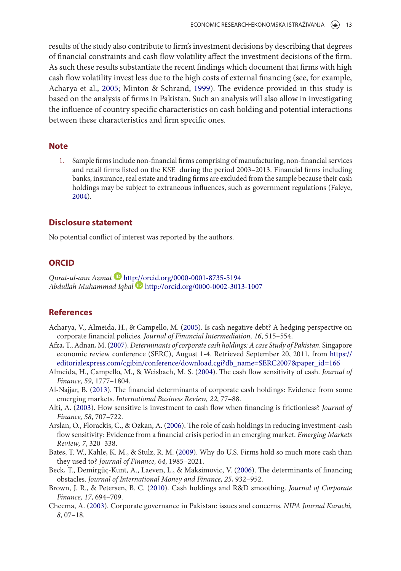<span id="page-14-20"></span><span id="page-14-14"></span><span id="page-14-9"></span>results of the study also contribute to firm's investment decisions by describing that degrees of inancial constraints and cash low volatility afect the investment decisions of the irm. As such these results substantiate the recent findings which document that firms with high cash flow volatility invest less due to the high costs of external financing (see, for example, Acharya et al., [2005;](#page-13-5) Minton & Schrand, [1999\)](#page-15-7). The evidence provided in this study is based on the analysis of irms in Pakistan. Such an analysis will also allow in investigating the inluence of country speciic characteristics on cash holding and potential interactions between these characteristics and firm specific ones.

#### <span id="page-14-26"></span><span id="page-14-15"></span><span id="page-14-12"></span><span id="page-14-11"></span>**Note**

<span id="page-14-23"></span><span id="page-14-3"></span>1. Sample firms include non-financial firms comprising of manufacturing, non-financial services and retail firms listed on the KSE during the period 2003-2013. Financial firms including banks, insurance, real estate and trading firms are excluded from the sample because their cash holdings may be subject to extraneous inluences, such as government regulations (Faleye, [2004](#page-14-26)).

#### <span id="page-14-22"></span><span id="page-14-17"></span>**Disclosure statement**

<span id="page-14-18"></span>No potential conflict of interest was reported by the authors.

#### <span id="page-14-10"></span>**ORCID**

<span id="page-14-25"></span>Qurat-ul-ann Azmat <http://orcid.org/0000-0001-8735-5194> Abdullah Muhammad Iqbal <http://orcid.org/0000-0002-3013-1007>

#### <span id="page-14-5"></span><span id="page-14-2"></span>**References**

- Acharya, V., Almeida, H., & Campello, M. ([2005\)](#page-2-0). Is cash negative debt? A hedging perspective on corporate financial policies. Journal of Financial Intermediation, 16, 515-554.
- <span id="page-14-13"></span><span id="page-14-8"></span>Afza, T., Adnan, M. [\(2007](#page-9-1)). Determinants of corporate cash holdings: A case Study of Pakistan. Singapore economic review conference (SERC), August 1-4. Retrieved September 20, 2011, from [https://](https://editorialexpress.com/cgibin/conference/download.cgi?db_name=SERC2007&paper_id=166) [editorialexpress.com/cgibin/conference/download.cgi?db\\_name=SERC2007&paper\\_id=166](https://editorialexpress.com/cgibin/conference/download.cgi?db_name=SERC2007&paper_id=166)
- <span id="page-14-0"></span>Almeida, H., Campello, M., & Weisbach, M. S. ([2004\)](#page-2-1). The cash flow sensitivity of cash. Journal of Finance, 59, 1777–1804.
- <span id="page-14-6"></span>Al-Najjar, B. ([2013](#page-2-2)). The financial determinants of corporate cash holdings: Evidence from some emerging markets. International Business Review, 22, 77–88.
- <span id="page-14-19"></span>Alti, A. ([2003\)](#page-5-0). How sensitive is investment to cash flow when financing is frictionless? Journal of Finance, 58, 707–722.
- <span id="page-14-4"></span><span id="page-14-1"></span>Arslan, O., Florackis, C., & Ozkan, A. [\(2006](#page-2-3)). The role of cash holdings in reducing investment-cash flow sensitivity: Evidence from a financial crisis period in an emerging market. Emerging Markets Review, 7, 320–338.
- <span id="page-14-16"></span>Bates, T. W., Kahle, K. M., & Stulz, R. M. ([2009\)](#page-2-4). Why do U.S. Firms hold so much more cash than they used to? Journal of Finance, 64, 1985–2021.
- <span id="page-14-7"></span>Beck, T., Demirgüç-Kunt, A., Laeven, L., & Maksimovic, V. ([2006\)](#page-2-5). The determinants of financing obstacles. Journal of International Money and Finance, 25, 932–952.
- <span id="page-14-21"></span>Brown, J. R., & Petersen, B. C. [\(2010\)](#page-6-0). Cash holdings and R&D smoothing. Journal of Corporate Finance, 17, 694–709.
- <span id="page-14-24"></span>Cheema, A. [\(2003](#page-2-6)). Corporate governance in Pakistan: issues and concerns. NIPA Journal Karachi, 8, 07–18.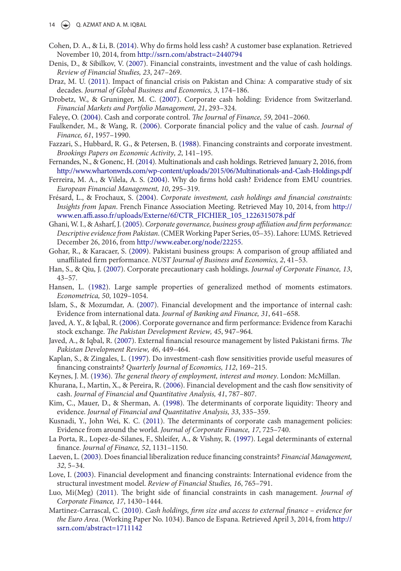- 14  $\left(\rightarrow\right)$  Q. AZMAT AND A. M. IQBAL
- Cohen, D. A., & Li, B. ([2014](#page-7-0)). Why do irms hold less cash? A customer base explanation. Retrieved November 10, 2014, from<http://ssrn.com/abstract=2440794>
- <span id="page-15-3"></span>Denis, D., & Sibilkov, V. [\(2007\)](#page-6-1). Financial constraints, investment and the value of cash holdings. Review of Financial Studies, 23, 247–269.
- <span id="page-15-5"></span>Draz, M. U. ([2011\)](#page-3-0). Impact of inancial crisis on Pakistan and China: A comparative study of six decades. Journal of Global Business and Economics, 3, 174–186.
- <span id="page-15-7"></span>Drobetz, W., & Gruninger, M. C. [\(2007\)](#page-4-0). Corporate cash holding: Evidence from Switzerland. Financial Markets and Portfolio Management, 21, 293–324.
- Faleye, O. [\(2004\)](#page-13-11). Cash and corporate control. The Journal of Finance, 59, 2041-2060.
- Faulkender, M., & Wang, R. [\(2006\)](#page-6-2). Corporate financial policy and the value of cash. Journal of Finance, 61, 1957–1990.
- <span id="page-15-4"></span>Fazzari, S., Hubbard, R. G., & Petersen, B. ([1988\)](#page-4-1). Financing constraints and corporate investment. Brookings Papers on Economic Activity, 2, 141–195.
- <span id="page-15-8"></span>Fernandes, N., & Gonenc, H. [\(2014](#page-2-7)). Multinationals and cash holdings. Retrieved January 2, 2016, from <http://www.whartonwrds.com/wp-content/uploads/2015/06/Multinationals-and-Cash-Holdings.pdf>
- <span id="page-15-11"></span>Ferreira, M. A., & Vilela, A. S. ([2004\)](#page-9-2). Why do irms hold cash? Evidence from EMU countries. European Financial Management, 10, 295–319.
- <span id="page-15-6"></span>Frésard, L., & Frochaux, S. ([2004](#page-8-0)). Corporate investment, cash holdings and financial constraints: Insights from Japan. French Finance Association Meeting. Retrieved May 10, 2014, from [http://](http://www.en.affi.asso.fr/uploads/Externe/6f/CTR_FICHIER_105_1226315078.pdf) www.en.affi.asso.fr/uploads/Externe/6f/CTR\_FICHIER\_105\_1226315078.pdf
- <span id="page-15-0"></span>Ghani, W. I., & Asharf, J. ([2005\)](#page-7-1). Corporate governance, business group affiliation and firm performance: Descriptive evidence from Pakistan. (CMER Working Paper Series, 05–35). Lahore: LUMS. Retrieved December 26, 2016, from [http://www.eaber.org/node/22255.](http://www.eaber.org/node/22255)
- <span id="page-15-12"></span><span id="page-15-2"></span>Gohar, R., & Karacaer, S. ([2009](#page-7-2)). Pakistani business groups: A comparison of group affiliated and unaffiliated firm performance. NUST Journal of Business and Economics, 2, 41-53.
- <span id="page-15-9"></span>Han, S., & Qiu, J. [\(2007\)](#page-4-2). Corporate precautionary cash holdings. Journal of Corporate Finance, 13,  $43 - 57.$
- <span id="page-15-13"></span>Hansen, L. ([1982](#page-11-0)). Large sample properties of generalized method of moments estimators. Econometrica, 50, 1029–1054.
- Islam, S., & Mozumdar, A. ([2007\)](#page-2-8). Financial development and the importance of internal cash: Evidence from international data. Journal of Banking and Finance, 31, 641–658.
- <span id="page-15-10"></span>Javed, A. Y., & Iqbal, R. [\(2006](#page-2-9)). Corporate governance and irm performance: Evidence from Karachi stock exchange. The Pakistan Development Review, 45, 947-964.
- <span id="page-15-1"></span>Javed, A., & Iqbal, R. ([2007](#page-2-10)). External financial resource management by listed Pakistani firms. The Pakistan Development Review, 46, 449–464.
- Kaplan, S., & Zingales, L. [\(1997\)](#page-5-1). Do investment-cash low sensitivities provide useful measures of financing constraints? Quarterly Journal of Economics, 112, 169-215.
- Keynes, J. M. ([1936](#page-1-2)). The general theory of employment, interest and money. London: McMillan.
- Khurana, I., Martin, X., & Pereira, R. ([2006](#page-2-11)). Financial development and the cash low sensitivity of cash. Journal of Financial and Quantitative Analysis, 41, 787–807.
- Kim, C., Mauer, D., & Sherman, A. [\(1998\)](#page-7-3). The determinants of corporate liquidity: Theory and evidence. Journal of Financial and Quantitative Analysis, 33, 335–359.
- Kusnadi, Y., John Wei, K. C. [\(2011](#page-2-12)). he determinants of corporate cash management policies: Evidence from around the world. Journal of Corporate Finance, 17, 725–740.
- La Porta, R., Lopez-de-Silanes, F., Shleifer, A., & Vishny, R. ([1997\)](#page-2-13). Legal determinants of external finance. Journal of Finance, 52, 1131-1150.
- Laeven, L. [\(2003](#page-6-3)). Does inancial liberalization reduce inancing constraints? Financial Management, 32, 5–34.
- Love, I. [\(2003](#page-2-14)). Financial development and inancing constraints: International evidence from the structural investment model. Review of Financial Studies, 16, 765–791.
- Luo, Mi(Meg) ([2011](#page-8-1)). The bright side of financial constraints in cash management. Journal of Corporate Finance, 17, 1430–1444.
- Martinez-Carrascal, C. ([2010\)](#page-11-1). Cash holdings, firm size and access to external finance evidence for the Euro Area. (Working Paper No. 1034). Banco de Espana. Retrieved April 3, 2014, from [http://](http://ssrn.com/abstract=1711142) [ssrn.com/abstract=1711142](http://ssrn.com/abstract=1711142)